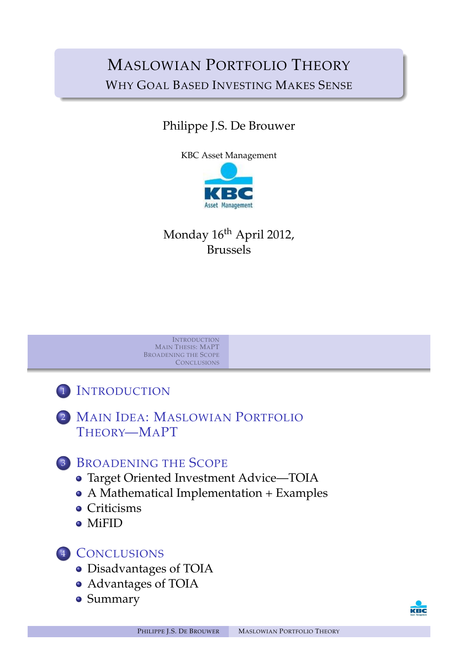# MASLOWIAN PORTFOLIO THEORY WHY GOAL BASED INVESTING MAKES SENSE

# Philippe J.S. De Brouwer

KBC Asset Management



# Monday 16<sup>th</sup> April 2012, Brussels



<sup>1</sup> INTRODUCTION

<sup>2</sup> MAIN IDEA: MASLOWIAN PORTFOLIO T[HEORY](#page-1-0)—MAPT

<sup>3</sup> B[ROADENI](#page-17-0)NG THE SCOPE

- [Tar](#page-1-0)get Oriented Investment Advice—TOIA
- [A Mathematical Implementation](#page-2-0) + Examples
- **•** [Crit](#page-2-0)icisms
- **[MiFID](#page-3-0)**

## <sup>4</sup> [C](#page-14-0)[ONCLUSIONS](#page-6-0)

- Disadvantages of TOIA
- [A](#page-17-0)dvantages of TOIA
- [Summar](#page-17-0)y

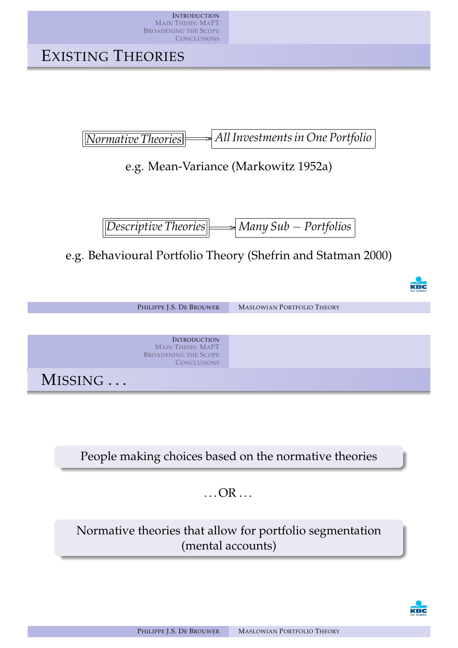

[People mak](#page-17-0)ing choices based on the normative theories

 $\ldots$  OR  $\ldots$ 

Normative theories that allow for portfolio segmentation [\(ment](#page-21-0)al accounts)

<span id="page-1-0"></span>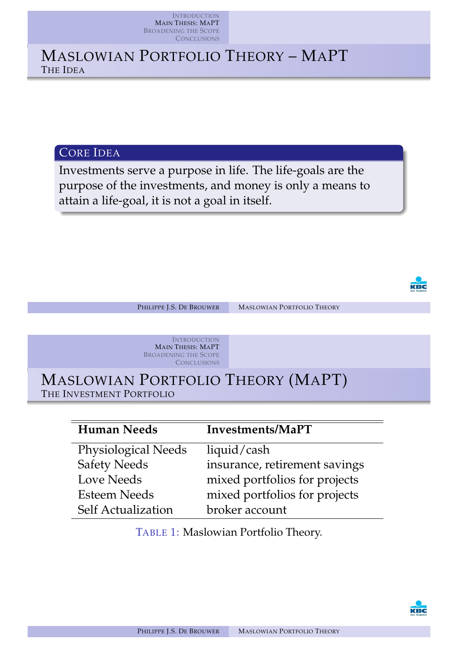# MASLOWIAN PORTFOLIO THEORY – MAPT THE IDEA

CORE IDEA

Investments serve a purpose in life. The life-goals are the purpose of the investments, and money is only a means to attain a life-goal, it is not a goal in itself.

![](_page_2_Picture_4.jpeg)

PHILIPPE J.S. DE BROUWER MASLOWIAN PORTFOLIO THEORY

**INTRODUCTION** MAIN THESIS: MAPT BROADENING THE SCOPE **CONCLUSIONS** 

MASLOWIAN PORTFOLIO THEORY (MAPT) THE INVESTMENT PORTFOLIO

| <b>Human Needs</b>         | Investments/MaPT              |
|----------------------------|-------------------------------|
| <b>Physiological Needs</b> | liquid/cash                   |
| <b>Safety Needs</b>        | insurance, retirement savings |
| <b>Love Needs</b>          | mixed portfolios for projects |
| <b>Esteem Needs</b>        | mixed portfolios for projects |
| <b>Self Actualization</b>  | broker account                |

TABLE 1: Maslowian Portfolio Theory.

<span id="page-2-0"></span>![](_page_2_Picture_11.jpeg)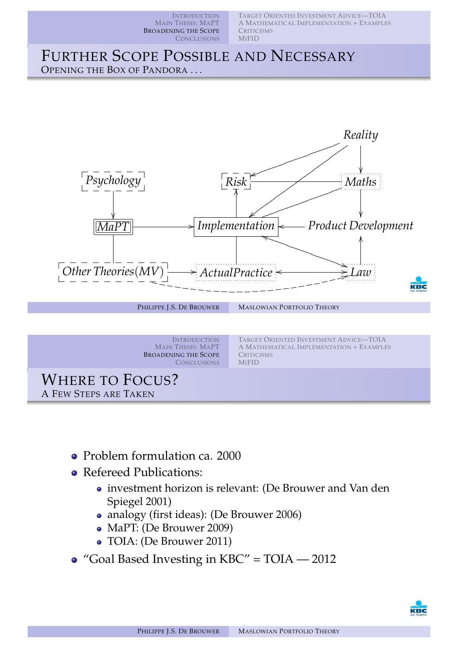TARGET ORIENTED INVESTMENT ADVICE—TOIA A MATHEMATICAL IMPLEMENTATION + EXAMPLES **CRITICISMS** MIFID

#### FURTHER SCOPE POSSIBLE AND NECESSARY OPENING THE BOX OF PANDORA ...

![](_page_3_Figure_3.jpeg)

- [Problem fo](#page-17-0)[rmulation ca. 2000](#page-16-0)
- Refereed Publications:
	- investment horizon is relevant: (De Brouwer and Van den Spiegel 2001)
	- analogy (first ideas): (De Brouwer 2006)
	- MaPT: (De Brouwer 2009)
	- TOIA: (De [Brouwer 2011\)](#page-21-1)
- ["G](#page-21-1)oal B[ased Investi](#page-21-2)ng in KBC" = TOIA 2012

<span id="page-3-0"></span>![](_page_3_Picture_11.jpeg)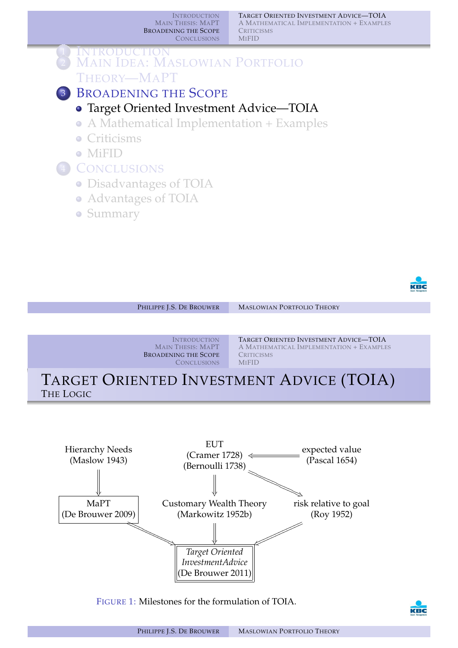TARGET ORIENTED INVESTMENT ADVICE—TOIA A MATHEMATICAL IMPLEMENTATION + EXAMPLES **CRITICISMS MIFID** 

#### **INTRODUCTION MAIN IDEA: MASLOWIAN PORTFOLIO** THEORY—MAPT **BROADENING THE SCOPE**

## Target Oriented Investment Advice—TOIA

- A Mathematical Implementation + Examples
- **Criticisms**
- MiFID

## <sup>4</sup> CONCLUSIONS

- Disadvantages of TOIA
- Advantages of TOIA
- **Summary**

![](_page_4_Picture_11.jpeg)

![](_page_4_Figure_12.jpeg)

![](_page_4_Figure_13.jpeg)

FIGURE 1: [Milestones f](#page-21-4)or the formulation of TOIA.

<span id="page-4-0"></span>![](_page_4_Picture_15.jpeg)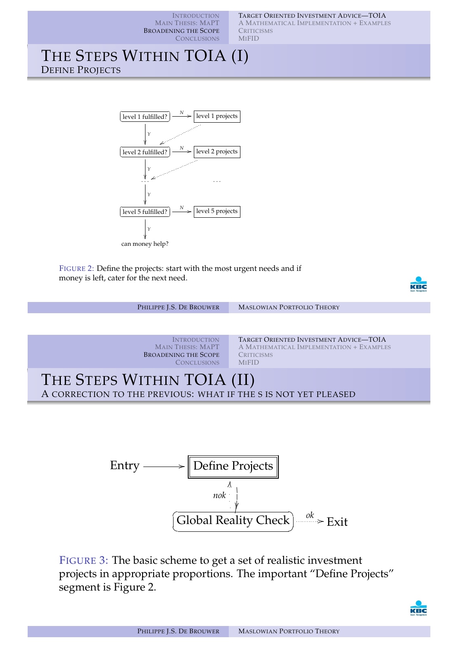TARGET ORIENTED INVESTMENT ADVICE—TOIA

**INTRODUCTION** MAIN THESIS: MAPT BROADENING THE SCOPE **CONCLUSIONS** 

A MATHEMATICAL IMPLEMENTATION + EXAMPLES **CRITICISMS MIFID** 

## THE STEPS WITHIN TOIA (I) DEFINE PROJECTS

![](_page_5_Figure_4.jpeg)

FIGURE 2: Define the projects: start with the most urgent needs and if money is left, cater for the next need.

![](_page_5_Picture_6.jpeg)

PHILIPPE J.S. DE BROUWER MASLOWIAN PORTFOLIO THEORY

![](_page_5_Picture_9.jpeg)

TARGET ORIENTED INVESTMENT ADVICE—TOIA A MATHEMATICAL IMPLEMENTATION + EXAMPLES **CRITICISMS** MIFID

## THE STEPS WITHIN TOIA (II) A CORRECTION TO THE PREVIOUS: WHAT IF THE S IS NOT YET PLEASED

![](_page_5_Figure_12.jpeg)

FIGURE 3: The basic scheme to get a set of realistic investment projects in appropriate proportions. The important "Define Projects" segment is Figure 2.

![](_page_5_Picture_14.jpeg)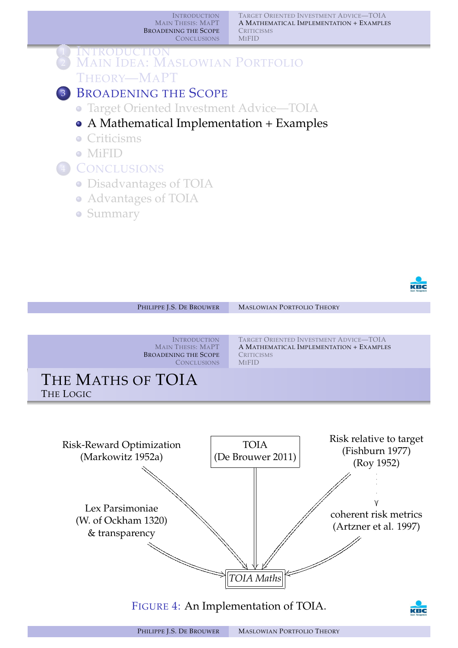TARGET ORIENTED INVESTMENT ADVICE—TOIA A MATHEMATICAL IMPLEMENTATION + EXAMPLES **CRITICISMS MIFID** 

![](_page_6_Figure_2.jpeg)

![](_page_6_Picture_3.jpeg)

![](_page_6_Figure_4.jpeg)

<span id="page-6-0"></span>![](_page_6_Figure_5.jpeg)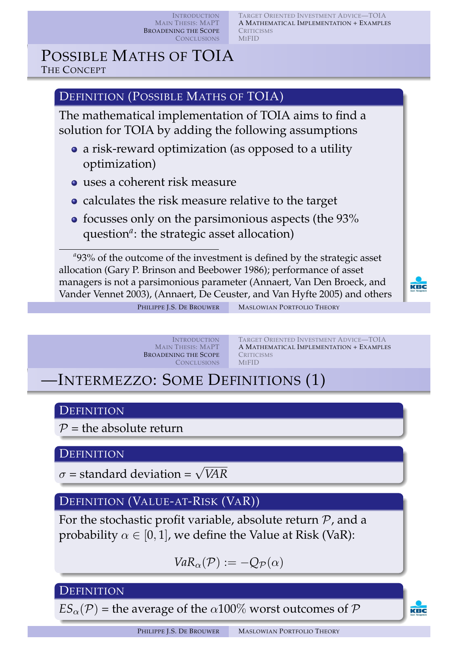TARGET ORIENTED INVESTMENT ADVICE—TOIA A MATHEMATICAL IMPLEMENTATION + EXAMPLES **CRITICISMS MIFID** 

## POSSIBLE MATHS OF TOIA THE CONCEPT

## DEFINITION (POSSIBLE MATHS OF TOIA)

The mathematical implementation of TOIA aims to find a solution for TOIA by adding the following assumptions

- a risk-reward optimization (as opposed to a utility optimization)
- uses a coherent risk measure
- calculates the risk measure relative to the target
- focusses only on the parsimonious aspects (the 93% question<sup>a</sup>: the strategic asset allocation)

<sup>a</sup>93% of the outcome of the investment is defined by the strategic asset allocation (Gary P. Brinson and Beebower 1986); performance of asset managers is not a parsimonious parameter (Annaert, Van Den Broeck, and Vander Vennet 2003), (Annaert, De Ceuster, and Van Hyfte 2005) and others

KBC

PHILIPPE J.S. DE BROUWER MASLOWIAN PORTFOLIO THEORY

**INTRODUCTION** MAIN THESIS: MAPT BROADENING THE SCOPE **CONCLUSIONS** 

TARGET ORIENTED INVESTMENT ADVICE—TOIA A MATHEMATICAL IMPLEMENTATION + EXAMPLES **CRITICISMS MIFID** 

—INTERMEZZO: SOME DEFINITIONS (1)

#### **DEFINITION**

 $P =$  the absolute return

#### **[D](#page-2-0)[EFINITION](#page-17-0)**

 $\sigma$  = standard deviation =  $\sqrt{VAR}$ 

## DEFINITION (VALUE-AT-RISK (VAR))

For the stochastic profit variable, absolute return  $P$ , and a probability  $\alpha \in [0, 1]$ , we define the Value at Risk (VaR):

$$
VaR_{\alpha}(\mathcal{P}) := -Q_{\mathcal{P}}(\alpha)
$$

#### **DEFINITION**

 $ES_{\alpha}(\mathcal{P})$  [= the averag](#page-21-5)e of the  $\alpha$ 100% worst outcomes of  $\mathcal P$ 

KBC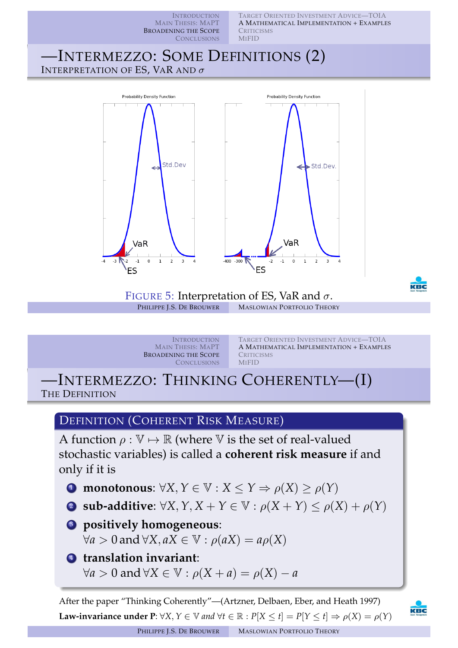TARGET ORIENTED INVESTMENT ADVICE—TOIA **INTRODUCTION** MAIN THESIS: MAPT A MATHEMATICAL IMPLEMENTATION + EXAMPLES BROADENING THE SCOPE **CRITICISMS CONCLUSIONS MIFID** —INTERMEZZO: SOME DEFINITIONS (2) INTERPRETATION OF ES, VAR AND  $\sigma$ **Probability Density Function Probability Density Function** Std.Dev Std.Dev. VaR VaR  $-300$  $-1$ FIGURE 5: Interpretation of ES, VaR and  $\sigma$ .<br>PHILIPPE J.S. DE BROUWER MASLOWIAN PORTFOLIO THEO **MASLOWIAN PORTFOLIO THEORY** 

> INTRODUCTION MAIN THESIS: MAPT BROADENING THE SCOPE **CONCLUSIONS**

TARGET ORIENTED INVESTMENT ADVICE—TOIA A MATHEMATICAL IMPLEMENTATION + EXAMPLES **CRITICISMS MIFID** 

—INTERMEZZO: THINKING COHERENTLY—(I) THE DEFINITION

## DEFINITION (COHERENT RISK MEASURE)

[A function](#page-1-0)  $\rho : \mathbb{V} \mapsto \mathbb{R}$  (where V [is the set o](#page-4-0)f real-valued [stochastic varia](#page-17-0)[bles\) is called a](#page-16-0) **coherent risk measure** if and only if it is

- **1** monotonous:  $\forall X, Y \in \mathbb{V}: X \leq Y \Rightarrow \rho(X) > \rho(Y)$
- 2 **sub-additive**:  $\forall X, Y, X + Y \in \mathbb{V} : \rho(X + Y) \leq \rho(X) + \rho(Y)$
- <sup>3</sup> **positively homogeneous**:  $∀a > 0$  and  $∀X, aX ∈ V : \rho(aX) = a\rho(X)$
- <sup>4</sup> **translation invariant**:  $\forall a > 0$  and  $\forall X \in \mathbb{V}: \rho(X + a) = \rho(X) - a$

After the paper "Thinking Coherently"—(Artzner, Delbaen, Eber, and Heath 1997) **Law-invariance un[der P](#page-21-8):**  $\forall X, Y \in \mathbb{V}$  and  $\forall t \in \mathbb{R} : P[X \le t] = P[Y \le t] \Rightarrow \rho(X) = \rho(Y)$ 

![](_page_8_Picture_11.jpeg)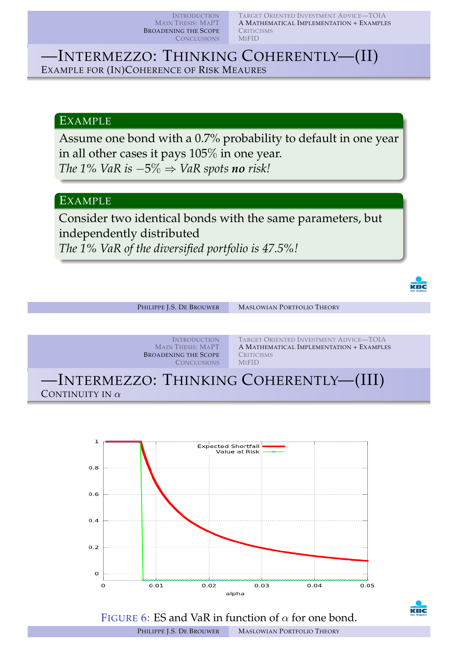TARGET ORIENTED INVESTMENT ADVICE—TOIA A MATHEMATICAL IMPLEMENTATION + EXAMPLES **CRITICISMS MIFID** 

—INTERMEZZO: THINKING COHERENTLY—(II) EXAMPLE FOR (IN)COHERENCE OF RISK MEAURES

#### EXAMPLE

Assume one bond with a 0.7% probability to default in one year in all other cases it pays 105% in one year. *The 1% VaR is*  $-5\% \Rightarrow$  *VaR spots no risk!* 

#### EXAMPLE

Consider two identical bonds with the same parameters, but independently distributed

*The 1% VaR of the diversified portfolio is 47.5%!*

![](_page_9_Picture_8.jpeg)

![](_page_9_Figure_9.jpeg)

![](_page_9_Figure_10.jpeg)

![](_page_9_Picture_11.jpeg)

FIGURE 6: ES and VaR in function of  $\alpha$  for one bond.

PHILIPPE J.S. DE BROUWER MASLOWIAN PORTFOLIO THEORY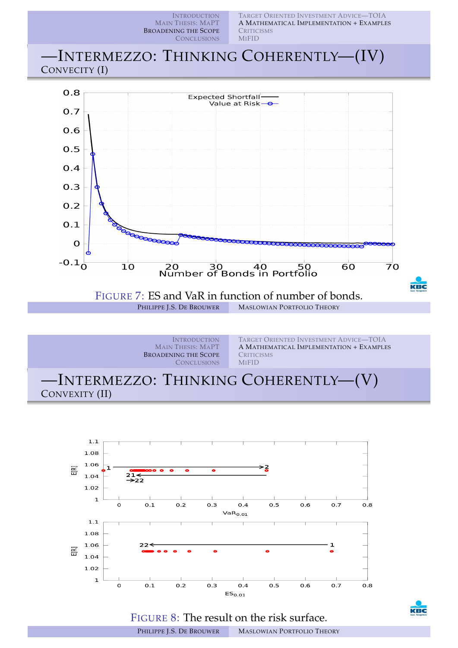INTRODUCTION TARGET ORIENTED INVESTMENT ADVICE—TOIA MAIN THESIS: MAPT A MATHEMATICAL IMPLEMENTATION + EXAMPLES BROADENING THE SCOPE **CRITICISMS** MIFID **CONCLUSIONS** —INTERMEZZO: THINKING COHERENTLY—(IV) CONVECITY (I)  $0.8$ **Expected Shortfall-**Value at Risk- $O.7$ 0.6  $0.5$  $0.4$  $0.3$  $0.2$  $0.1$  $\mathbf 0$  $-0.1<sub>0</sub>$  $\overline{10}$ 20 30 40 50<br>Number of Bonds in Portfolio  $60$  $\overline{7}0$ KBC FIGURE 7: ES and VaR in function of number of bonds.<br>PHILIPPE J.S. DE BROUWER MASLOWIAN PORTFOLIO THEORY **MASLOWIAN PORTFOLIO THEORY** 

![](_page_10_Picture_1.jpeg)

![](_page_10_Figure_2.jpeg)

![](_page_10_Picture_3.jpeg)

![](_page_10_Picture_4.jpeg)

PHILIPPE J.S. DE BROUWER MASLOWIAN PORTFOLIO THEORY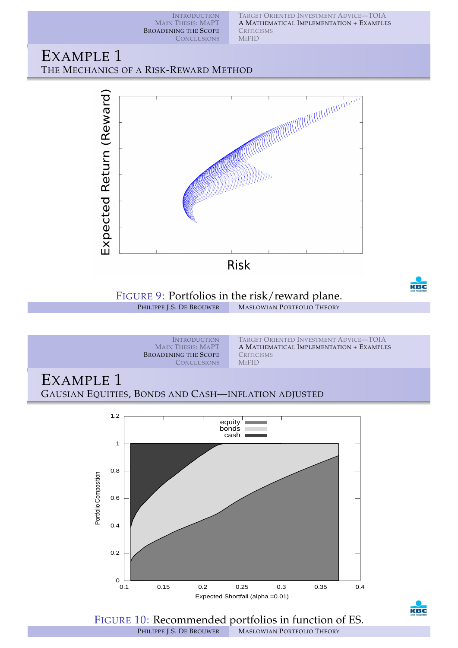TARGET ORIENTED INVESTMENT ADVICE—TOIA A MATHEMATICAL IMPLEMENTATION + EXAMPLES **CRITICISMS** MIFID

#### EXAMPLE 1 THE MECHANICS OF A RISK-REWARD METHOD

![](_page_11_Figure_3.jpeg)

![](_page_11_Figure_4.jpeg)

![](_page_11_Figure_5.jpeg)

FIGURE 10: Recommended portfolios in function of ES. PHILIPPE J.S. DE BROUWER MASLOWIAN PORTFOLIO THEORY

KEC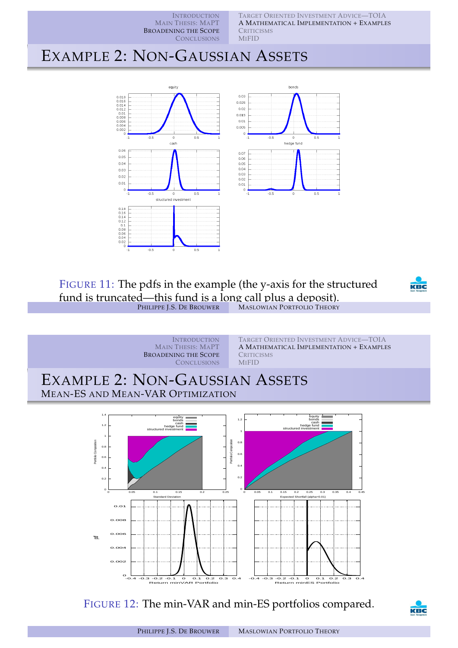TARGET ORIENTED INVESTMENT ADVICE—TOIA A MATHEMATICAL IMPLEMENTATION + EXAMPLES **CRITICISMS** MIFID

# EXAMPLE 2: NON-GAUSSIAN ASSETS

![](_page_12_Figure_3.jpeg)

#### FIGURE 11: The pdfs in the example (the y-axis for the structured fund is truncated—this fund is a long call plus a deposit). **MASLOWIAN PORTFOLIO THEORY**

![](_page_12_Picture_5.jpeg)

**INTRODUCTION** MAIN THESIS: MAPT BROADENING THE SCOPE **CONCLUSIONS** TARGET ORIENTED INVESTMENT ADVICE—TOIA A MATHEMATICAL IMPLEMENTATION + EXAMPLES **CRITICISMS** MIFID EXAMPLE 2: NON-GAUSSIAN ASSETS MEAN-ES AND MEAN-VAR OPTIMIZATION <sub>0</sub> L  $0.2$  $0.4$  $\overline{0}$ 0.8 1 1.2 1.4 0 0.05 0.1 0.15 0.2 0.25 P[ortfoli](#page-17-0)[o Co](#page-3-0)[mpos](#page-2-0)[ition](#page-1-0) Standard Deviation equity<br>| bonds<br>| cash<br>| hedge fund<br>| structured investment 0  $0.2$  $0.4$ 0.6  $0.8$ 1 1.2 0 0.05 0.1 0.15 0.2 0.25 0.3 0.35 0.4 0.45 P[ortfol](#page-16-0)[io Co](#page-14-0)[mpo](#page-6-0)[sition](#page-4-0)  $\overline{0.3}$ <br>(alpha) equity **i** bonds cash hedge fund structured investment 0.006 0.008 0.01 **b** 

FIGURE 12: The min-VAR and min-ES portfolios compared.

-0.4 -0.3 -0.2 -0.1 0 0.1 0.2 0.3 0.4 Return minVAR Portfolio

 $\overline{O}$ 

0.002 0.004

![](_page_12_Picture_8.jpeg)

-0.4 -0.3 -0.2 -0.1 0 0.1 0.2 0.3 0.4 Return minES Portfolio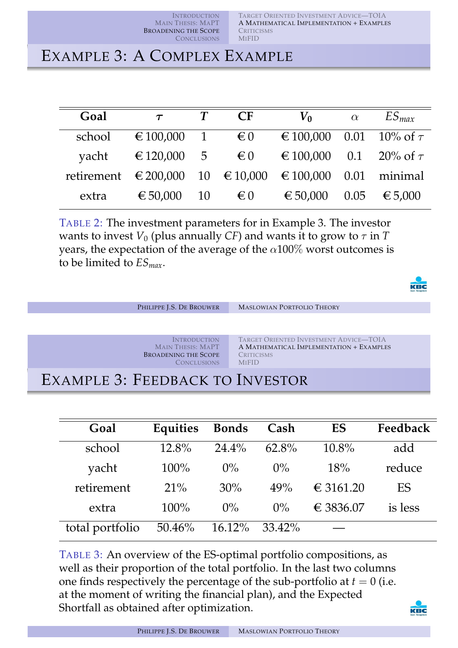# EXAMPLE 3: A COMPLEX EXAMPLE

| Goal   | $\tau$                                                  | CF           | $V_0$                        | $\alpha$ | $ES_{max}$ |
|--------|---------------------------------------------------------|--------------|------------------------------|----------|------------|
| school | $\epsilon$ 100,000 1 $\epsilon$ 0                       |              | € 100,000 0.01 10% of $\tau$ |          |            |
| yacht  | $\epsilon$ 120,000 5 $\epsilon$ 0                       |              | € 100,000 0.1 20% of $\tau$  |          |            |
|        | retirement € 200,000 10 € 10,000 € 100,000 0.01 minimal |              |                              |          |            |
| extra  | € 50,000 10                                             | $\epsilon_0$ | € 50,000                     | 0.05     | € 5,000    |

TABLE 2: The investment parameters for in Example 3. The investor wants to invest  $V_0$  (plus annually *CF*) and wants it to grow to  $\tau$  in  $T$ years, the expectation of the average of the  $\alpha$ 100% worst outcomes is to be limited to *ESmax*.

![](_page_13_Picture_5.jpeg)

| PHILIPPE J.S. DE BROUWER                                                                             | <b>MASLOWIAN PORTFOLIO THEORY</b>                                                                                       |  |  |  |
|------------------------------------------------------------------------------------------------------|-------------------------------------------------------------------------------------------------------------------------|--|--|--|
|                                                                                                      |                                                                                                                         |  |  |  |
| <b>INTRODUCTION</b><br><b>MAIN THESIS: MAPT</b><br><b>BROADENING THE SCOPE</b><br><b>CONCLUSIONS</b> | TARGET ORIENTED INVESTMENT ADVICE-TOIA<br>A MATHEMATICAL IMPLEMENTATION + EXAMPLES<br><b>CRITICISMS</b><br><b>MIFID</b> |  |  |  |
| EXAMPLE 3: FEEDBACK TO INVESTOR                                                                      |                                                                                                                         |  |  |  |

| Goal            | Equities | <b>Bonds</b> | Cash     | ES        | Feedback |
|-----------------|----------|--------------|----------|-----------|----------|
| school          | $12.8\%$ | $24.4\%$     | $62.8\%$ | $10.8\%$  | add      |
| yacht           | $100\%$  | $0\%$        | $0\%$    | 18%       | reduce   |
| retirement      | $21\%$   | 30%          | 49%      | € 3161.20 | ES       |
| extra           | $100\%$  | $0\%$        | $0\%$    | € 3836.07 | is less  |
| total portfolio | 50.46%   | $16.12\%$    | 33.42%   |           |          |

TABLE 3: An overview of the ES-optimal portfolio compositions, as well as their proportion of the total portfolio. In the last two columns one finds respectively the percentage of the sub-portfolio at  $t = 0$  (i.e. at the moment of writing the financial plan), and the Expected Shortfall as obtained after optimization.

![](_page_13_Picture_9.jpeg)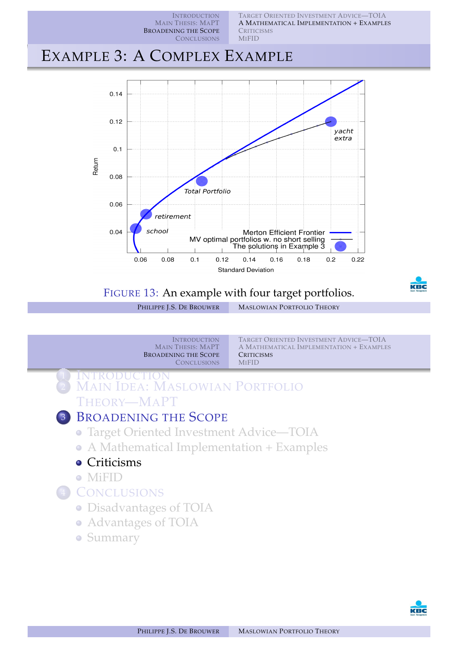TARGET ORIENTED INVESTMENT ADVICE—TOIA A MATHEMATICAL IMPLEMENTATION + EXAMPLES **CRITICISMS MIFID** 

# EXAMPLE 3: A COMPLEX EXAMPLE

![](_page_14_Figure_3.jpeg)

## FIGURE 13: An example with four target portfolios.

PHILIPPE J.S. DE BROUWER MASLOWIAN PORTFOLIO THEORY

![](_page_14_Picture_6.jpeg)

<span id="page-14-0"></span>![](_page_14_Picture_7.jpeg)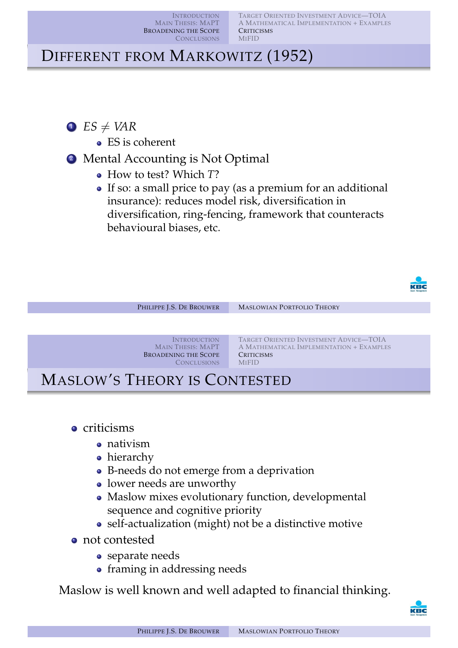# DIFFERENT FROM MARKOWITZ (1952)

- $\bullet$  *ES*  $\neq$  *VAR* 
	- ES is coherent
- 2 Mental Accounting is Not Optimal
	- How to test? Which *T*?
	- If so: a small price to pay (as a premium for an additional insurance): reduces model risk, diversification in diversification, ring-fencing, framework that counteracts behavioural biases, etc.

![](_page_15_Picture_8.jpeg)

| PHILIPPE J.S. DE BROUWER                                                                             | <b>MASLOWIAN PORTFOLIO THEORY</b>                                                                                       |  |  |  |
|------------------------------------------------------------------------------------------------------|-------------------------------------------------------------------------------------------------------------------------|--|--|--|
|                                                                                                      |                                                                                                                         |  |  |  |
| <b>INTRODUCTION</b><br><b>MAIN THESIS: MAPT</b><br><b>BROADENING THE SCOPE</b><br><b>CONCLUSIONS</b> | TARGET ORIENTED INVESTMENT ADVICE-TOIA<br>A MATHEMATICAL IMPLEMENTATION + EXAMPLES<br><b>CRITICISMS</b><br><b>MIFID</b> |  |  |  |
| <b>MASLOW'S THEORY IS CONTESTED</b>                                                                  |                                                                                                                         |  |  |  |

- **o** criticisms
	- [nativis](#page-2-0)[m](#page-6-0)
	- [hierarc](#page-17-0)[hy](#page-16-0)
	- B-needs do not emerge from a deprivation
	- lower needs are unworthy
	- Maslow mixes evolutionary function, developmental sequence and cognitive priority
	- self-actualization (might) not be a distinctive motive
- not contested
	- separate needs
	- framing in addressing needs

Maslow is well known and well adapted to financial thinking.

![](_page_15_Picture_21.jpeg)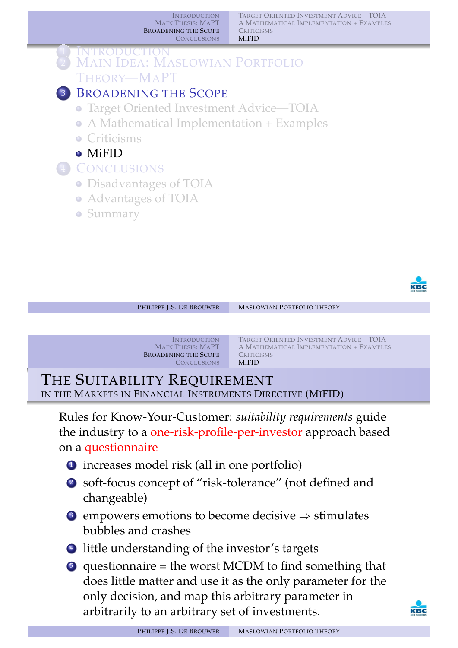TARGET ORIENTED INVESTMENT ADVICE—TOIA A MATHEMATICAL IMPLEMENTATION + EXAMPLES **CRITICISMS MIFID** 

![](_page_16_Picture_2.jpeg)

![](_page_16_Picture_3.jpeg)

PHILIPPE J.S. DE BROUWER MASLOWIAN PORTFOLIO THEORY

**INTRODUCTION** MAIN THESIS: MAPT BROADENING THE SCOPE **CONCLUSIONS** 

TARGET ORIENTED INVESTMENT ADVICE—TOIA A MATHEMATICAL IMPLEMENTATION + EXAMPLES **CRITICISMS** MIFID

THE SUITABILITY REQUIREMENT IN THE MARKETS IN FINANCIAL INSTRUMENTS DIRECTIVE (MIFID)

Rules for Know-Your-Customer: *suitability requirements* guide the industry to a [one-risk-profile-per-inve](#page-4-0)stor approach based on a [questionn](#page-2-0)[aire](#page-6-0)

- 1 [inc](#page-1-0)[reases model risk \(all in one p](#page-2-0)[ortfo](#page-16-0)lio)
- <sup>2</sup> [soft-](#page-2-0)focus concept of "risk-tolerance" (not defined and [changeabl](#page-3-0)[e\)](#page-4-0)
- **3** [empowers emotions to b](#page-6-0)ecome decisive  $\Rightarrow$  stimulates bubbles and crashes
- 4 [litt](#page-17-0)le understanding of the investor's targets
- <sup>5</sup> [questio](#page-18-0)[n](#page-17-0)naire = the worst MCDM to find something that does little matter and use it as the only parameter for the only decision, and map this arbitrary parameter in arbitrarily to an arbitrary set of investments.

<span id="page-16-0"></span>![](_page_16_Picture_15.jpeg)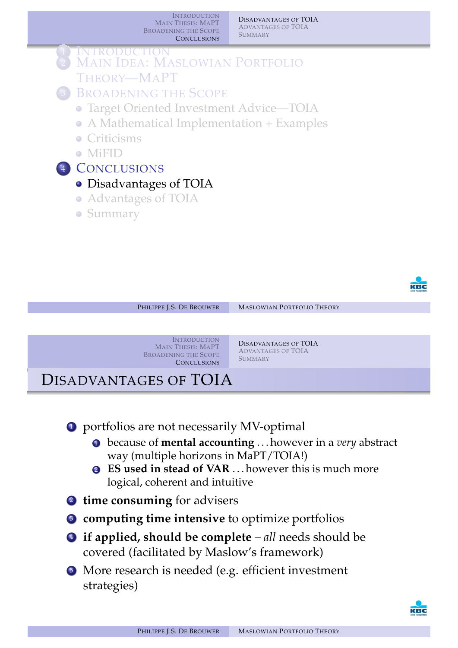DISADVANTAGES OF TOIA ADVANTAGES OF TOIA **SUMMARY** 

![](_page_17_Picture_2.jpeg)

![](_page_17_Picture_3.jpeg)

PHILIPPE J.S. DE BROUWER MASLOWIAN PORTFOLIO THEORY **INTRODUCTION** MAIN THESIS: MAPT BROADENING THE SCOPE **CONCLUSIONS** DISADVANTAGES OF TOIA ADVANTAGES OF TOIA **SUMMARY** 

# DISADVANTAGES OF TOIA

**1** portfolios are not necessarily MV-optimal

- <sup>1</sup> [becaus](#page-1-0)e of **[mental accounting](#page-17-0)** . . . however in a *very* abstract [way \(](#page-17-0)[multiple horizons in MaPT/TO](#page-19-0)IA!)
- [2](#page-1-0) **[ES used in stead of VAR](#page-2-0)** . . . however this is much more logical, coherent and intuitive
- <sup>2</sup> **[time consuming](#page-4-0)** for advisers
- <sup>3</sup> **[computing time intensi](#page-6-0)ve** to optimize portfolios
- <sup>4</sup> **if applied, should be complete** *all* needs should be [covered \(](#page-17-0)facilitated by Maslow's framework)
- <sup>5</sup> [More r](#page-18-0)esearch is needed (e.g. efficient investment strategies)

<span id="page-17-0"></span>![](_page_17_Picture_13.jpeg)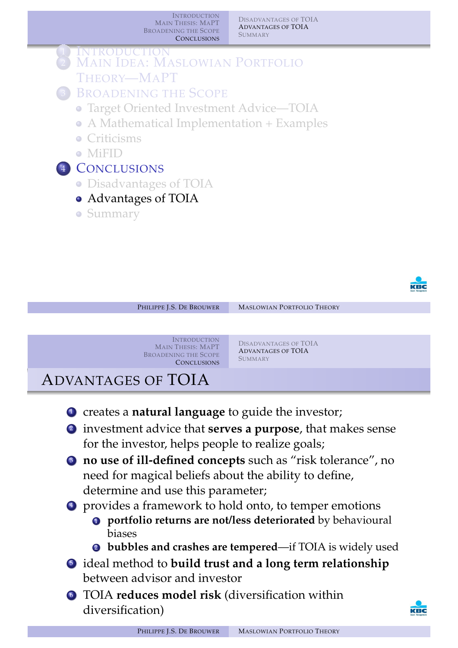DISADVANTAGES OF TOIA ADVANTAGES OF TOIA **SUMMARY** 

![](_page_18_Figure_2.jpeg)

![](_page_18_Picture_3.jpeg)

![](_page_18_Picture_4.jpeg)

- <sup>1</sup> creates a **natural language** to guide the investor;
- 2 investment advice that **serves a purpose**, that makes sense [for the inv](#page-2-0)[estor, helps people to realiz](#page-17-0)e goals;
- <sup>3</sup> **[no use of i](#page-17-0)[ll-defined concepts](#page-19-0)** such as "risk tolerance", no [need for magical beliefs about th](#page-2-0)e ability to define, [determine](#page-3-0) and use this parameter;
- <sup>4</sup> [provides a framework](#page-4-0) to hold onto, to temper emotions
	- <sup>1</sup> **[portfolio returns are](#page-6-0) not/less deteriorated** by behavioural biases
	- [2](#page-17-0) **bubbles and crashes are tempered**—if TOIA is widely used
- 5 [ideal](#page-18-0) [met](#page-17-0)hod to **build trust and a long term relationship** between advisor and investor
- <sup>6</sup> TOIA **reduces model risk** (diversification within diversification)

<span id="page-18-0"></span>![](_page_18_Picture_13.jpeg)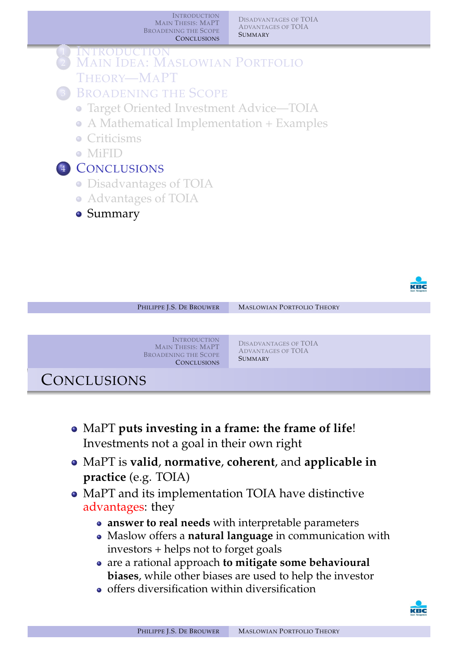DISADVANTAGES OF TOIA ADVANTAGES OF TOIA **SUMMARY** 

![](_page_19_Figure_2.jpeg)

![](_page_19_Figure_3.jpeg)

- MaPT **puts investing in a frame: the frame of life**! [Investmen](#page-1-0)[ts not a goal in their own r](#page-17-0)ight
- [Ma](#page-1-0)[PT is](#page-17-0) **valid**, **[normative](#page-19-0)**, **coherent**, and **applicable in [prac](#page-2-0)tice** [\(e.g. TOIA\)](#page-2-0)
- [MaPT and](#page-3-0) its implementation TOIA have distinctive [advantages: they](#page-4-0)
	- **[answer to real needs](#page-6-0)** with interpretable parameters
	- Maslow offers a **natural language** in communication with investors + helps not to forget goals
	- [are a](#page-17-0) rational approach **to mitigate some behavioural biases**, while other biases are used to help the investor
	- $\bullet$  offers diversification within diversification

<span id="page-19-0"></span>![](_page_19_Picture_11.jpeg)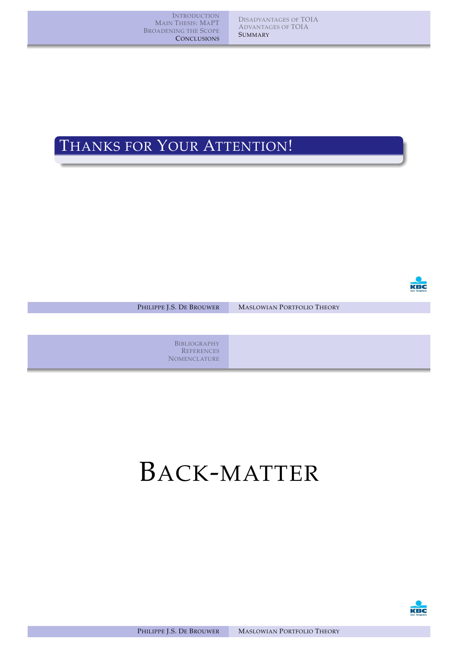DISADVANTAGES OF TOIA ADVANTAGES OF TOIA **SUMMARY** 

# THANKS FOR YOUR ATTENTION!

![](_page_20_Picture_3.jpeg)

PHILIPPE J.S. DE BROUWER MASLOWIAN PORTFOLIO THEORY

**BIBLIOGRAPHY REFERENCES NOMENCLATURE** 

# [B](#page-17-0)ACK-MATTER

![](_page_20_Picture_8.jpeg)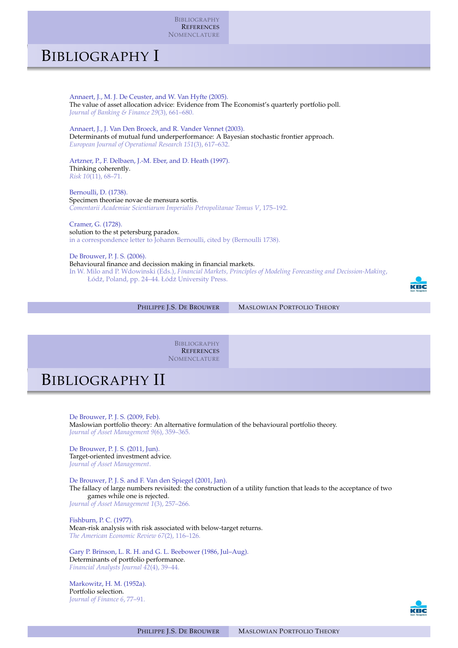BIBLIOGRAPHY **REFERENCES NOMENCLATURE** 

# BIBLIOGRAPHY I

Annaert, J., M. J. De Ceuster, and W. Van Hyfte (2005). The value of asset allocation advice: Evidence from The Economist's quarterly portfolio poll. *Journal of Banking & Finance 29*(3), 661–680. Annaert, J., J. Van Den Broeck, and R. Vander Vennet (2003). Determinants of mutual fund underperformance: A Bayesian stochastic frontier approach. *European Journal of Operational Research 151*(3), 617–632. Artzner, P., F. Delbaen, J.-M. Eber, and D. Heath (1997). Thinking coherently. *Risk 10*(11), 68–71. Bernoulli, D. (1738). Specimen theoriae novae de mensura sortis. *Comentarii Academiae Scientiarum Imperialis Petropolitanae Tomus V*, 175–192. Cramer, G. (1728). solution to the st petersburg paradox. in a correspondence letter to Johann Bernoulli, cited by (Bernoulli 1738). De Brouwer, P. J. S. (2006). Behavioural finance and decission making in financial markets.

In W. Milo and P. Wdowinski (Eds.), *Financial Markets, Principles of Modeling Forecasting and Decission-Making*, Łódź, Poland, pp. 24–44. Łódź University Press.

![](_page_21_Picture_4.jpeg)

PHILIPPE J.S. DE BROUWER MASLOWIAN PORTFOLIO THEORY

**BIBLIOGRAPHY REFERENCES NOMENCLATURE** 

# BIBLIOGRAPHY II

De Brouwer, P. J. S. (2009, Feb). Maslowian portfolio theory: An alternative formulation of the behavioural portfolio theory. *Journal of Asset Management 9*(6), 359–365.

[De Brouwer, P. J. S. \(2011](#page-21-9), Jun). [Target-oriented investme](#page-22-3)nt advice. *Journal of Asset Management*.

<span id="page-21-7"></span>De Brouwer, P. J. S. and F. Van den Spiegel (2001, Jan). The fallacy of large numbers revisited: the construction of a utility function that leads to the acceptance of two games while one is rejected. *Journal of Asset Management 1*(3), 257–266.

<span id="page-21-6"></span><span id="page-21-4"></span><span id="page-21-1"></span>Fishburn, P. C. (1977). Mean-risk analysis with risk associated with below-target returns. *The American Economic Review 67*(2), 116–126.

<span id="page-21-8"></span><span id="page-21-3"></span>Gary P. Brinson, L. R. H. and G. L. Beebower (1986, Jul–Aug). Determinants of portfolio performance. *Financial Analysts Journal 42*(4), 39–44.

<span id="page-21-5"></span><span id="page-21-2"></span><span id="page-21-0"></span>Markowitz, H. M. (1952a). Portfolio selection. *Journal of Finance 6*, 77–9[1.](#page-21-3)

<span id="page-21-9"></span>![](_page_21_Picture_15.jpeg)